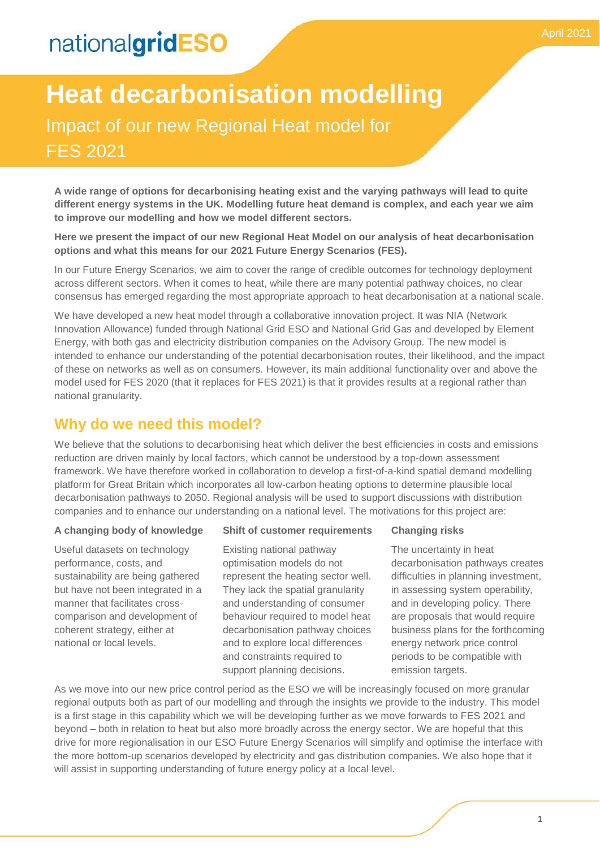# nationalgridESO

**A wide range of options for decarbonising heating exist and the varying pathways will lead to quite different energy systems in the UK. Modelling future heat demand is complex, and each year we aim to improve our modelling and how we model different sectors.**

**Here we present the impact of our new Regional Heat Model on our analysis of heat decarbonisation options and what this means for our 2021 Future Energy Scenarios (FES).** 

In our Future Energy Scenarios, we aim to cover the range of credible outcomes for technology deployment across different sectors. When it comes to heat, while there are many potential pathway choices, no clear consensus has emerged regarding the most appropriate approach to heat decarbonisation at a national scale.

We have developed a new heat model through a collaborative innovation project. It was NIA (Network Innovation Allowance) funded through National Grid ESO and National Grid Gas and developed by Element Energy, with both gas and electricity distribution companies on the Advisory Group. The new model is intended to enhance our understanding of the potential decarbonisation routes, their likelihood, and the impact of these on networks as well as on consumers. However, its main additional functionality over and above the model used for FES 2020 (that it replaces for FES 2021) is that it provides results at a regional rather than national granularity.

### **Why do we need this model?**

We believe that the solutions to decarbonising heat which deliver the best efficiencies in costs and emissions reduction are driven mainly by local factors, which cannot be understood by a top-down assessment framework. We have therefore worked in collaboration to develop a first-of-a-kind spatial demand modelling platform for Great Britain which incorporates all low-carbon heating options to determine plausible local decarbonisation pathways to 2050. Regional analysis will be used to support discussions with distribution companies and to enhance our understanding on a national level. The motivations for this project are:

#### **A changing body of knowledge**

Useful datasets on technology performance, costs, and sustainability are being gathered but have not been integrated in a manner that facilitates crosscomparison and development of coherent strategy, either at national or local levels.

### **Shift of customer requirements**

Existing national pathway optimisation models do not represent the heating sector well. They lack the spatial granularity and understanding of consumer behaviour required to model heat decarbonisation pathway choices and to explore local differences and constraints required to support planning decisions.

#### **Changing risks**

The uncertainty in heat decarbonisation pathways creates difficulties in planning investment, in assessing system operability, and in developing policy. There are proposals that would require business plans for the forthcoming energy network price control periods to be compatible with emission targets.

As we move into our new price control period as the ESO we will be increasingly focused on more granular regional outputs both as part of our modelling and through the insights we provide to the industry. This model is a first stage in this capability which we will be developing further as we move forwards to FES 2021 and beyond – both in relation to heat but also more broadly across the energy sector. We are hopeful that this drive for more regionalisation in our ESO Future Energy Scenarios will simplify and optimise the interface with the more bottom-up scenarios developed by electricity and gas distribution companies. We also hope that it will assist in supporting understanding of future energy policy at a local level.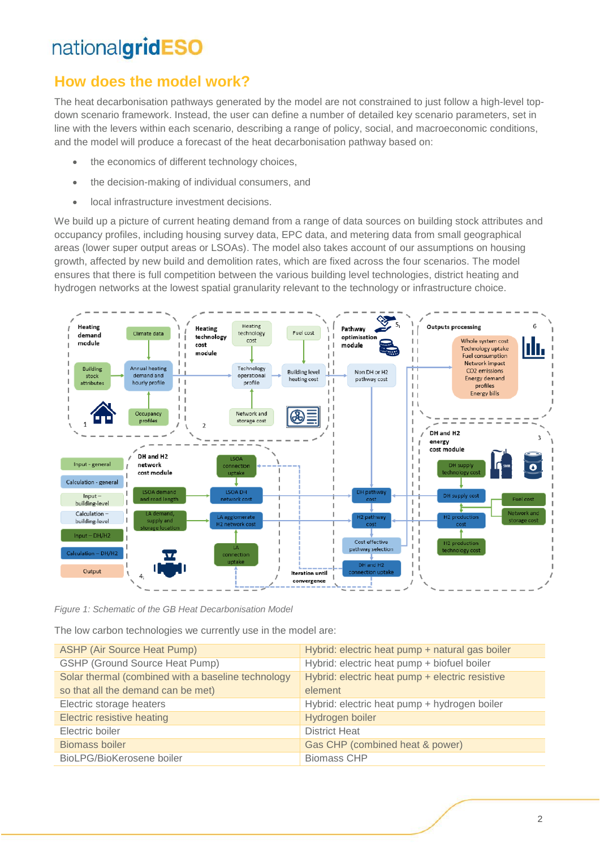## nationalgridESO

## **How does the model work?**

The heat decarbonisation pathways generated by the model are not constrained to just follow a high-level topdown scenario framework. Instead, the user can define a number of detailed key scenario parameters, set in line with the levers within each scenario, describing a range of policy, social, and macroeconomic conditions, and the model will produce a forecast of the heat decarbonisation pathway based on:

- the economics of different technology choices,
- the decision-making of individual consumers, and
- local infrastructure investment decisions.

We build up a picture of current heating demand from a range of data sources on building stock attributes and occupancy profiles, including housing survey data, EPC data, and metering data from small geographical areas (lower super output areas or LSOAs). The model also takes account of our assumptions on housing growth, affected by new build and demolition rates, which are fixed across the four scenarios. The model ensures that there is full competition between the various building level technologies, district heating and hydrogen networks at the lowest spatial granularity relevant to the technology or infrastructure choice.



*Figure 1: Schematic of the GB Heat Decarbonisation Model*

The low carbon technologies we currently use in the model are:

| <b>ASHP (Air Source Heat Pump)</b>                 | Hybrid: electric heat pump + natural gas boiler |
|----------------------------------------------------|-------------------------------------------------|
| <b>GSHP (Ground Source Heat Pump)</b>              | Hybrid: electric heat pump + biofuel boiler     |
| Solar thermal (combined with a baseline technology | Hybrid: electric heat pump + electric resistive |
| so that all the demand can be met)                 | element                                         |
| Electric storage heaters                           | Hybrid: electric heat pump + hydrogen boiler    |
| Electric resistive heating                         | Hydrogen boiler                                 |
| Electric boiler                                    | <b>District Heat</b>                            |
| Biomass boiler                                     | Gas CHP (combined heat & power)                 |
| BioLPG/BioKerosene boiler                          | <b>Biomass CHP</b>                              |
|                                                    |                                                 |